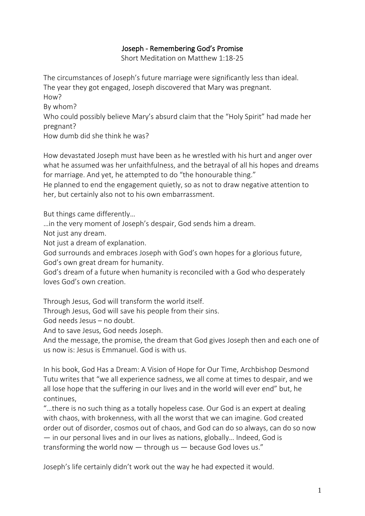## Joseph - Remembering God's Promise

Short Meditation on [Matthew 1:18-25](http://bible.oremus.org/?ql=346415409)

The circumstances of Joseph's future marriage were significantly less than ideal. The year they got engaged, Joseph discovered that Mary was pregnant. How? By whom? Who could possibly believe Mary's absurd claim that the "Holy Spirit" had made her pregnant? How dumb did she think he was?

How devastated Joseph must have been as he wrestled with his hurt and anger over what he assumed was her unfaithfulness, and the betrayal of all his hopes and dreams for marriage. And yet, he attempted to do "the honourable thing."

He planned to end the engagement quietly, so as not to draw negative attention to her, but certainly also not to his own embarrassment.

But things came differently…

…in the very moment of Joseph's despair, God sends him a dream.

Not just any dream.

Not just a dream of explanation.

God surrounds and embraces Joseph with God's own hopes for a glorious future, God's own great dream for humanity.

God's dream of a future when humanity is reconciled with a God who desperately loves God's own creation.

Through Jesus, God will transform the world itself.

Through Jesus, God will save his people from their sins.

God needs Jesus – no doubt.

And to save Jesus, God needs Joseph.

And the message, the promise, the dream that God gives Joseph then and each one of us now is: Jesus is Emmanuel. God is with us.

In his book, God Has a Dream: A Vision of Hope for Our Time, Archbishop Desmond Tutu writes that "we all experience sadness, we all come at times to despair, and we all lose hope that the suffering in our lives and in the world will ever end" but, he continues,

"…there is no such thing as a totally hopeless case. Our God is an expert at dealing with chaos, with brokenness, with all the worst that we can imagine. God created order out of disorder, cosmos out of chaos, and God can do so always, can do so now — in our personal lives and in our lives as nations, globally… Indeed, God is transforming the world now — through us — because God loves us."

Joseph's life certainly didn't work out the way he had expected it would.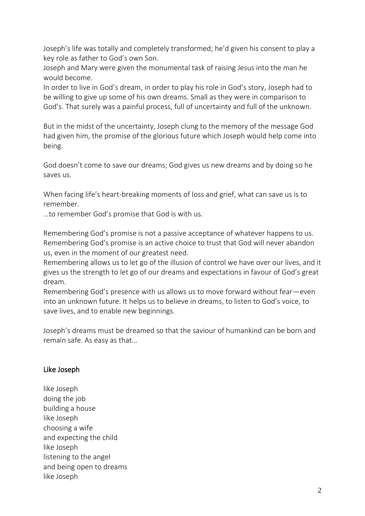Joseph's life was totally and completely transformed; he'd given his consent to play a key role as father to God's own Son.

Joseph and Mary were given the monumental task of raising Jesus into the man he would become.

In order to live in God's dream, in order to play his role in God's story, Joseph had to be willing to give up some of his own dreams. Small as they were in comparison to God's. That surely was a painful process, full of uncertainty and full of the unknown.

But in the midst of the uncertainty, Joseph clung to the memory of the message God had given him, the promise of the glorious future which Joseph would help come into being.

God doesn't come to save our dreams; God gives us new dreams and by doing so he saves us*.*

When facing life's heart-breaking moments of loss and grief, what can save us is to remember.

…to remember God's promise that God is with us.

Remembering God's promise is not a passive acceptance of whatever happens to us. Remembering God's promise is an active choice to trust that God will never abandon us, even in the moment of our greatest need.

Remembering allows us to let go of the illusion of control we have over our lives, and it gives us the strength to let go of our dreams and expectations in favour of God's great dream.

Remembering God's presence with us allows us to move forward without fear—even into an unknown future. It helps us to believe in dreams, to listen to God's voice, to save lives, and to enable new beginnings.

Joseph's dreams must be dreamed so that the saviour of humankind can be born and remain safe. As easy as that…

## Like Joseph

like Joseph doing the job building a house like Joseph choosing a wife and expecting the child like Joseph listening to the angel and being open to dreams like Joseph